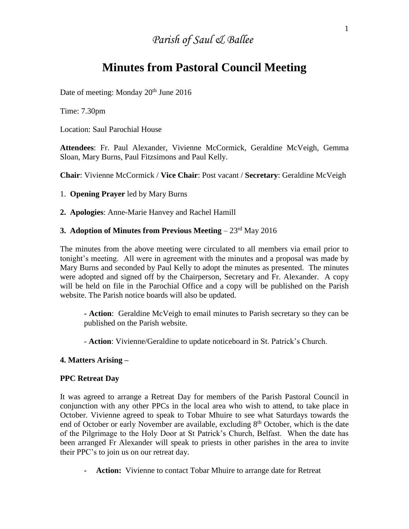# *Parish of Saul & Ballee*

# **Minutes from Pastoral Council Meeting**

Date of meeting: Monday 20<sup>th</sup> June 2016

Time: 7.30pm

Location: Saul Parochial House

**Attendees**: Fr. Paul Alexander, Vivienne McCormick, Geraldine McVeigh, Gemma Sloan, Mary Burns, Paul Fitzsimons and Paul Kelly.

**Chair**: Vivienne McCormick / **Vice Chair**: Post vacant / **Secretary**: Geraldine McVeigh

1. **Opening Prayer** led by Mary Burns

**2. Apologies**: Anne-Marie Hanvey and Rachel Hamill

## **3. Adoption of Minutes from Previous Meeting** – 23<sup>rd</sup> May 2016

The minutes from the above meeting were circulated to all members via email prior to tonight's meeting. All were in agreement with the minutes and a proposal was made by Mary Burns and seconded by Paul Kelly to adopt the minutes as presented. The minutes were adopted and signed off by the Chairperson, Secretary and Fr. Alexander. A copy will be held on file in the Parochial Office and a copy will be published on the Parish website. The Parish notice boards will also be updated.

**- Action**: Geraldine McVeigh to email minutes to Parish secretary so they can be published on the Parish website.

- **Action**: Vivienne/Geraldine to update noticeboard in St. Patrick's Church.

#### **4. Matters Arising –**

#### **PPC Retreat Day**

It was agreed to arrange a Retreat Day for members of the Parish Pastoral Council in conjunction with any other PPCs in the local area who wish to attend, to take place in October. Vivienne agreed to speak to Tobar Mhuire to see what Saturdays towards the end of October or early November are available, excluding  $8<sup>th</sup>$  October, which is the date of the Pilgrimage to the Holy Door at St Patrick's Church, Belfast. When the date has been arranged Fr Alexander will speak to priests in other parishes in the area to invite their PPC's to join us on our retreat day.

**- Action:** Vivienne to contact Tobar Mhuire to arrange date for Retreat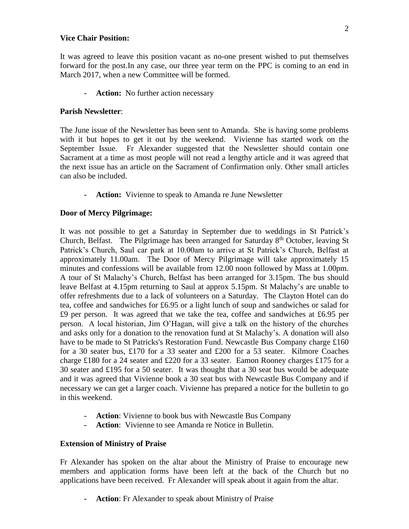#### **Vice Chair Position:**

It was agreed to leave this position vacant as no-one present wished to put themselves forward for the post.In any case, our three year term on the PPC is coming to an end in March 2017, when a new Committee will be formed.

**- Action:** No further action necessary

## **Parish Newsletter**:

The June issue of the Newsletter has been sent to Amanda. She is having some problems with it but hopes to get it out by the weekend. Vivienne has started work on the September Issue. Fr Alexander suggested that the Newsletter should contain one Sacrament at a time as most people will not read a lengthy article and it was agreed that the next issue has an article on the Sacrament of Confirmation only. Other small articles can also be included.

**- Action:** Vivienne to speak to Amanda re June Newsletter

## **Door of Mercy Pilgrimage:**

It was not possible to get a Saturday in September due to weddings in St Patrick's Church, Belfast. The Pilgrimage has been arranged for Saturday  $8<sup>th</sup>$  October, leaving St Patrick's Church, Saul car park at 10.00am to arrive at St Patrick's Church, Belfast at approximately 11.00am. The Door of Mercy Pilgrimage will take approximately 15 minutes and confessions will be available from 12.00 noon followed by Mass at 1.00pm. A tour of St Malachy's Church, Belfast has been arranged for 3.15pm. The bus should leave Belfast at 4.15pm returning to Saul at approx 5.15pm. St Malachy's are unable to offer refreshments due to a lack of volunteers on a Saturday. The Clayton Hotel can do tea, coffee and sandwiches for £6.95 or a light lunch of soup and sandwiches or salad for £9 per person. It was agreed that we take the tea, coffee and sandwiches at £6.95 per person. A local historian, Jim O'Hagan, will give a talk on the history of the churches and asks only for a donation to the renovation fund at St Malachy's. A donation will also have to be made to St Patricks's Restoration Fund. Newcastle Bus Company charge £160 for a 30 seater bus, £170 for a 33 seater and £200 for a 53 seater. Kilmore Coaches charge £180 for a 24 seater and £220 for a 33 seater. Eamon Rooney charges £175 for a 30 seater and £195 for a 50 seater. It was thought that a 30 seat bus would be adequate and it was agreed that Vivienne book a 30 seat bus with Newcastle Bus Company and if necessary we can get a larger coach. Vivienne has prepared a notice for the bulletin to go in this weekend.

- **- Action**: Vivienne to book bus with Newcastle Bus Company
- **- Action**: Vivienne to see Amanda re Notice in Bulletin.

## **Extension of Ministry of Praise**

Fr Alexander has spoken on the altar about the Ministry of Praise to encourage new members and application forms have been left at the back of the Church but no applications have been received. Fr Alexander will speak about it again from the altar.

**- Action**: Fr Alexander to speak about Ministry of Praise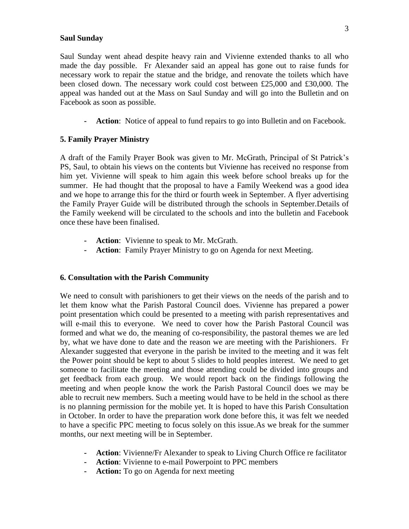#### **Saul Sunday**

Saul Sunday went ahead despite heavy rain and Vivienne extended thanks to all who made the day possible. Fr Alexander said an appeal has gone out to raise funds for necessary work to repair the statue and the bridge, and renovate the toilets which have been closed down. The necessary work could cost between £25,000 and £30,000. The appeal was handed out at the Mass on Saul Sunday and will go into the Bulletin and on Facebook as soon as possible.

**- Action**: Notice of appeal to fund repairs to go into Bulletin and on Facebook.

#### **5. Family Prayer Ministry**

A draft of the Family Prayer Book was given to Mr. McGrath, Principal of St Patrick's PS, Saul, to obtain his views on the contents but Vivienne has received no response from him yet. Vivienne will speak to him again this week before school breaks up for the summer. He had thought that the proposal to have a Family Weekend was a good idea and we hope to arrange this for the third or fourth week in September. A flyer advertising the Family Prayer Guide will be distributed through the schools in September.Details of the Family weekend will be circulated to the schools and into the bulletin and Facebook once these have been finalised.

- **- Action**: Vivienne to speak to Mr. McGrath.
- **- Action**: Family Prayer Ministry to go on Agenda for next Meeting.

#### **6. Consultation with the Parish Community**

We need to consult with parishioners to get their views on the needs of the parish and to let them know what the Parish Pastoral Council does. Vivienne has prepared a power point presentation which could be presented to a meeting with parish representatives and will e-mail this to everyone. We need to cover how the Parish Pastoral Council was formed and what we do, the meaning of co-responsibility, the pastoral themes we are led by, what we have done to date and the reason we are meeting with the Parishioners. Fr Alexander suggested that everyone in the parish be invited to the meeting and it was felt the Power point should be kept to about 5 slides to hold peoples interest. We need to get someone to facilitate the meeting and those attending could be divided into groups and get feedback from each group. We would report back on the findings following the meeting and when people know the work the Parish Pastoral Council does we may be able to recruit new members. Such a meeting would have to be held in the school as there is no planning permission for the mobile yet. It is hoped to have this Parish Consultation in October. In order to have the preparation work done before this, it was felt we needed to have a specific PPC meeting to focus solely on this issue.As we break for the summer months, our next meeting will be in September.

- **- Action**: Vivienne/Fr Alexander to speak to Living Church Office re facilitator
- **- Action**: Vivienne to e-mail Powerpoint to PPC members
- **- Action:** To go on Agenda for next meeting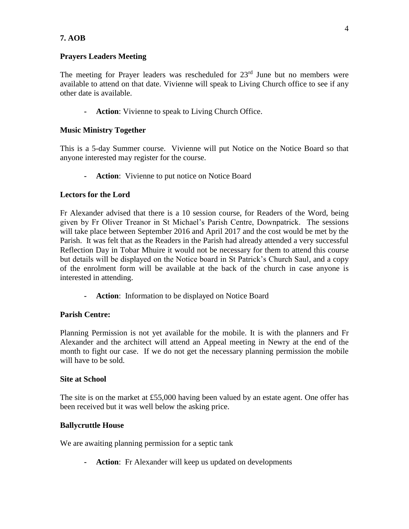## **Prayers Leaders Meeting**

The meeting for Prayer leaders was rescheduled for  $23<sup>rd</sup>$  June but no members were available to attend on that date. Vivienne will speak to Living Church office to see if any other date is available.

**- Action**: Vivienne to speak to Living Church Office.

## **Music Ministry Together**

This is a 5-day Summer course. Vivienne will put Notice on the Notice Board so that anyone interested may register for the course.

**- Action**: Vivienne to put notice on Notice Board

## **Lectors for the Lord**

Fr Alexander advised that there is a 10 session course, for Readers of the Word, being given by Fr Oliver Treanor in St Michael's Parish Centre, Downpatrick. The sessions will take place between September 2016 and April 2017 and the cost would be met by the Parish. It was felt that as the Readers in the Parish had already attended a very successful Reflection Day in Tobar Mhuire it would not be necessary for them to attend this course but details will be displayed on the Notice board in St Patrick's Church Saul, and a copy of the enrolment form will be available at the back of the church in case anyone is interested in attending.

**- Action**: Information to be displayed on Notice Board

## **Parish Centre:**

Planning Permission is not yet available for the mobile. It is with the planners and Fr Alexander and the architect will attend an Appeal meeting in Newry at the end of the month to fight our case. If we do not get the necessary planning permission the mobile will have to be sold.

## **Site at School**

The site is on the market at £55,000 having been valued by an estate agent. One offer has been received but it was well below the asking price.

## **Ballycruttle House**

We are awaiting planning permission for a septic tank

**- Action**: Fr Alexander will keep us updated on developments